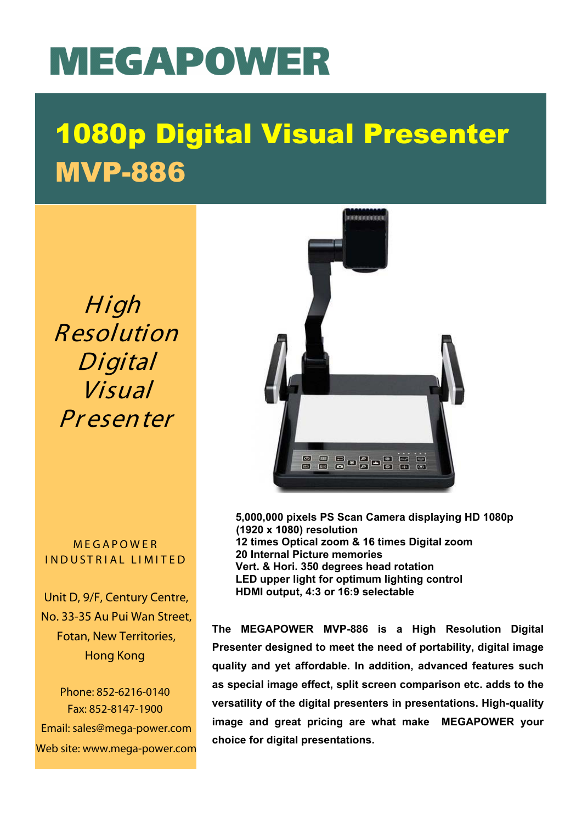## MEGAPOWER

## 1080p Digital Visual Presenter MVP-886

High Resolution Digital Visual **Presenter** 

**MEGAPOWER** INDUSTRIAL LIMITED

Unit D, 9/F, Century Centre, No. 33-35 Au Pui Wan Street, Fotan, New Territories, Hong Kong

Phone: 852-6216-0140 Fax: 852-8147-1900 Email: sales@mega-power.com Web site: www.mega-power.com



**5,000,000 pixels PS Scan Camera displaying HD 1080p (1920 x 1080) resolution 12 times Optical zoom & 16 times Digital zoom 20 Internal Picture memories Vert. & Hori. 350 degrees head rotation LED upper light for optimum lighting control HDMI output, 4:3 or 16:9 selectable**

**The MEGAPOWER MVP-886 is a High Resolution Digital Presenter designed to meet the need of portability, digital image quality and yet affordable. In addition, advanced features such as special image effect, split screen comparison etc. adds to the versatility of the digital presenters in presentations. High-quality image and great pricing are what make MEGAPOWER your choice for digital presentations.**